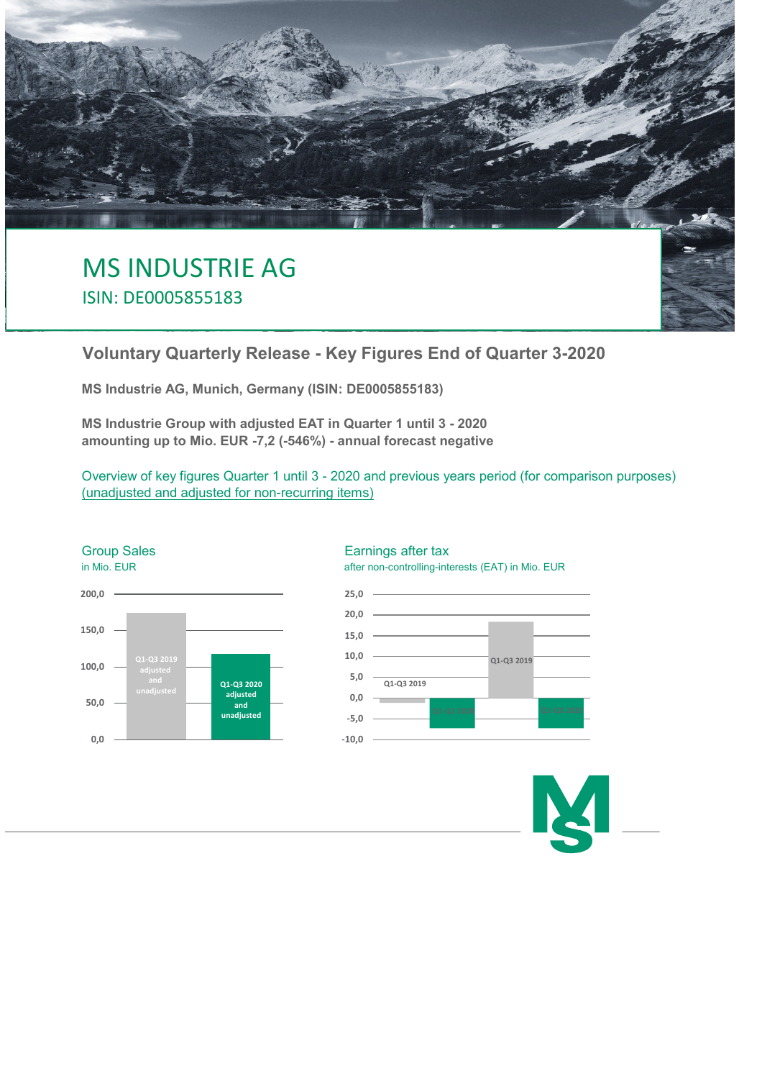

ISIN: DE0005855183

# **Voluntary Quarterly Release - Key Figures End of Quarter 3-2020**

**MS Industrie AG, Munich, Germany (ISIN: DE0005855183)**

**MS Industrie Group with adjusted EAT in Quarter 1 until 3 - 2020 amounting up to Mio. EUR -7,2 (-546%) - annual forecast negative**

Overview of key figures Quarter 1 until 3 - 2020 and previous years period (for comparison purposes) (unadjusted and adjusted for non-recurring items)



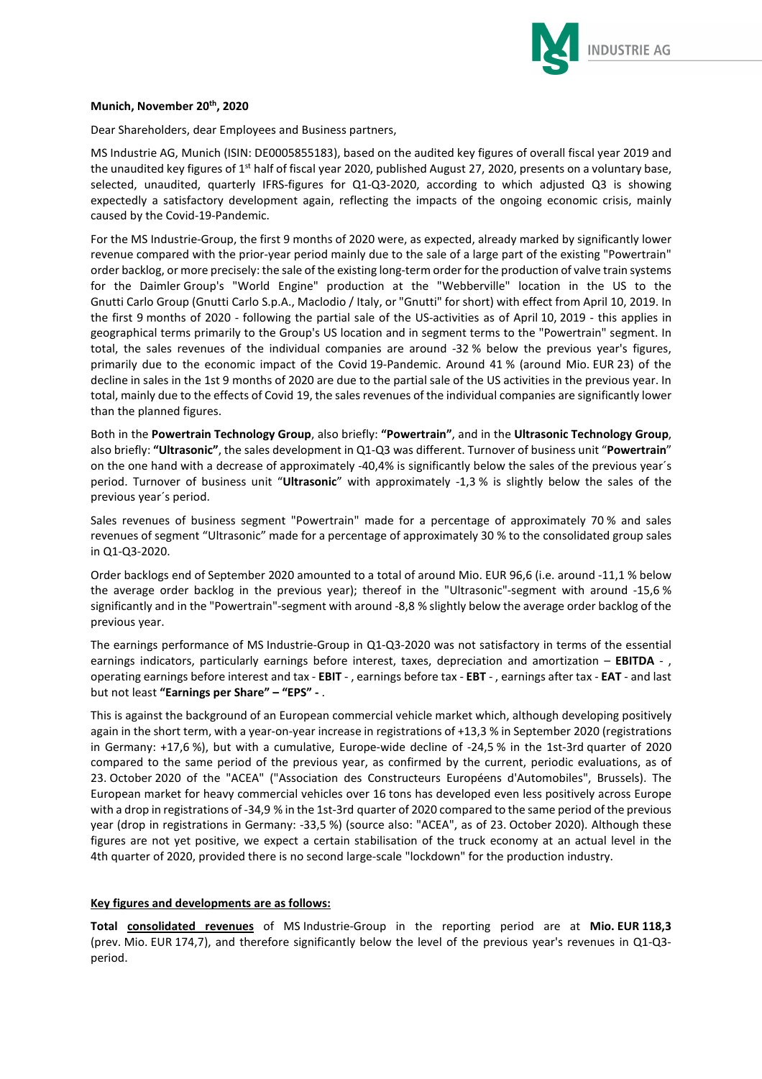

#### **Munich, November 20th, 2020**

Dear Shareholders, dear Employees and Business partners,

MS Industrie AG, Munich (ISIN: DE0005855183), based on the audited key figures of overall fiscal year 2019 and the unaudited key figures of  $1<sup>st</sup>$  half of fiscal year 2020, published August 27, 2020, presents on a voluntary base, selected, unaudited, quarterly IFRS-figures for Q1-Q3-2020, according to which adjusted Q3 is showing expectedly a satisfactory development again, reflecting the impacts of the ongoing economic crisis, mainly caused by the Covid-19-Pandemic.

For the MS Industrie-Group, the first 9 months of 2020 were, as expected, already marked by significantly lower revenue compared with the prior-year period mainly due to the sale of a large part of the existing "Powertrain" order backlog, or more precisely: the sale of the existing long-term order for the production of valve train systems for the Daimler Group's "World Engine" production at the "Webberville" location in the US to the Gnutti Carlo Group (Gnutti Carlo S.p.A., Maclodio / Italy, or "Gnutti" for short) with effect from April 10, 2019. In the first 9 months of 2020 - following the partial sale of the US-activities as of April 10, 2019 - this applies in geographical terms primarily to the Group's US location and in segment terms to the "Powertrain" segment. In total, the sales revenues of the individual companies are around -32 % below the previous year's figures, primarily due to the economic impact of the Covid 19-Pandemic. Around 41 % (around Mio. EUR 23) of the decline in sales in the 1st 9 months of 2020 are due to the partial sale of the US activities in the previous year. In total, mainly due to the effects of Covid 19, the sales revenues of the individual companies are significantly lower than the planned figures.

Both in the **Powertrain Technology Group**, also briefly: **"Powertrain"**, and in the **Ultrasonic Technology Group**, also briefly: **"Ultrasonic"**, the sales development in Q1-Q3 was different. Turnover of business unit "**Powertrain**" on the one hand with a decrease of approximately -40,4% is significantly below the sales of the previous year´s period. Turnover of business unit "**Ultrasonic**" with approximately -1,3 % is slightly below the sales of the previous year´s period.

Sales revenues of business segment "Powertrain" made for a percentage of approximately 70 % and sales revenues of segment "Ultrasonic" made for a percentage of approximately 30 % to the consolidated group sales in Q1-Q3-2020.

Order backlogs end of September 2020 amounted to a total of around Mio. EUR 96,6 (i.e. around -11,1 % below the average order backlog in the previous year); thereof in the "Ultrasonic"-segment with around -15,6 % significantly and in the "Powertrain"-segment with around -8,8 % slightly below the average order backlog of the previous year.

The earnings performance of MS Industrie-Group in Q1-Q3-2020 was not satisfactory in terms of the essential earnings indicators, particularly earnings before interest, taxes, depreciation and amortization – **EBITDA** - , operating earnings before interest and tax - **EBIT** - , earnings before tax - **EBT** - , earnings after tax - **EAT** - and last but not least **"Earnings per Share" – "EPS" -** .

This is against the background of an European commercial vehicle market which, although developing positively again in the short term, with a year-on-year increase in registrations of +13,3 % in September 2020 (registrations in Germany: +17,6 %), but with a cumulative, Europe-wide decline of -24,5 % in the 1st-3rd quarter of 2020 compared to the same period of the previous year, as confirmed by the current, periodic evaluations, as of 23. October 2020 of the "ACEA" ("Association des Constructeurs Européens d'Automobiles", Brussels). The European market for heavy commercial vehicles over 16 tons has developed even less positively across Europe with a drop in registrations of -34,9 % in the 1st-3rd quarter of 2020 compared to the same period of the previous year (drop in registrations in Germany: -33,5 %) (source also: "ACEA", as of 23. October 2020). Although these figures are not yet positive, we expect a certain stabilisation of the truck economy at an actual level in the 4th quarter of 2020, provided there is no second large-scale "lockdown" for the production industry.

# **Key figures and developments are as follows:**

**Total consolidated revenues** of MS Industrie-Group in the reporting period are at **Mio. EUR 118,3**  (prev. Mio. EUR 174,7), and therefore significantly below the level of the previous year's revenues in Q1-Q3 period.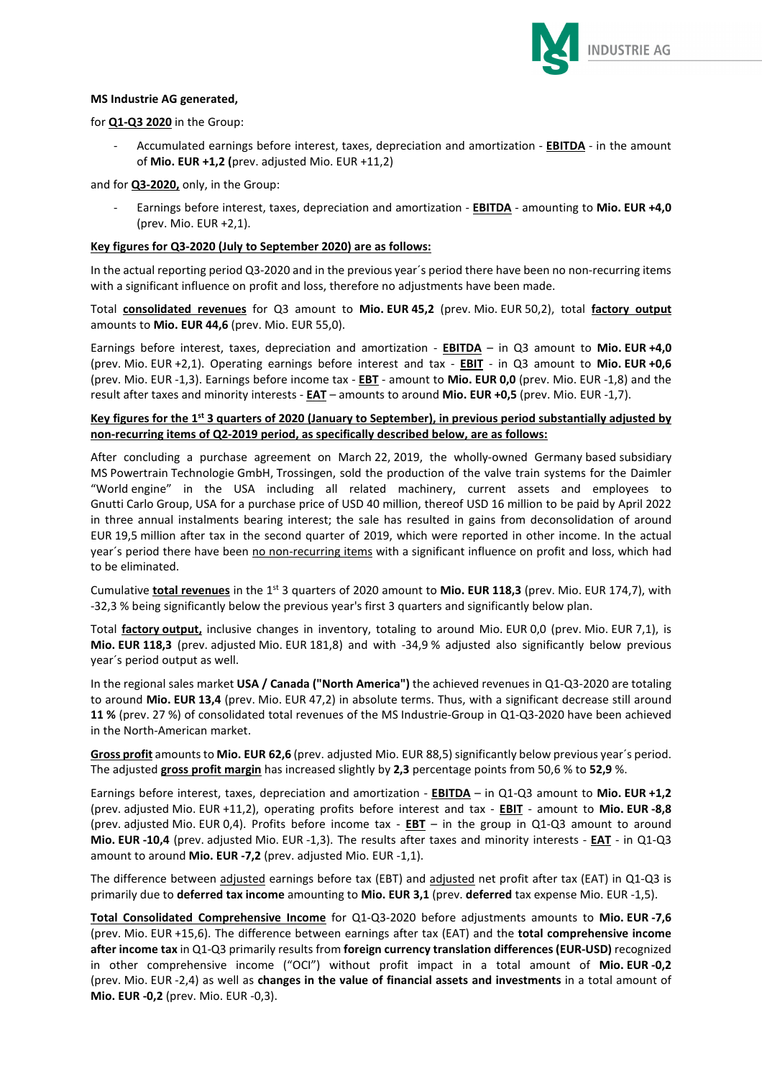

## **MS Industrie AG generated,**

for **Q1-Q3 2020** in the Group:

- Accumulated earnings before interest, taxes, depreciation and amortization - **EBITDA** - in the amount of **Mio. EUR +1,2 (**prev. adjusted Mio. EUR +11,2)

and for **Q3-2020,** only, in the Group:

- Earnings before interest, taxes, depreciation and amortization - **EBITDA** - amounting to **Mio. EUR +4,0**  (prev. Mio. EUR +2,1).

#### **Key figures for Q3-2020 (July to September 2020) are as follows:**

In the actual reporting period Q3-2020 and in the previous year´s period there have been no non-recurring items with a significant influence on profit and loss, therefore no adjustments have been made.

Total **consolidated revenues** for Q3 amount to **Mio. EUR 45,2** (prev. Mio. EUR 50,2), total **factory output** amounts to **Mio. EUR 44,6** (prev. Mio. EUR 55,0).

Earnings before interest, taxes, depreciation and amortization - **EBITDA** – in Q3 amount to **Mio. EUR +4,0** (prev. Mio. EUR +2,1). Operating earnings before interest and tax - **EBIT** - in Q3 amount to **Mio. EUR +0,6** (prev. Mio. EUR -1,3). Earnings before income tax - **EBT** - amount to **Mio. EUR 0,0** (prev. Mio. EUR -1,8) and the result after taxes and minority interests - **EAT** – amounts to around **Mio. EUR +0,5** (prev. Mio. EUR -1,7).

## **Key figures for the 1st 3 quarters of 2020 (January to September), in previous period substantially adjusted by non-recurring items of Q2-2019 period, as specifically described below, are as follows:**

After concluding a purchase agreement on March 22, 2019, the wholly-owned Germany based subsidiary MS Powertrain Technologie GmbH, Trossingen, sold the production of the valve train systems for the Daimler "World engine" in the USA including all related machinery, current assets and employees to Gnutti Carlo Group, USA for a purchase price of USD 40 million, thereof USD 16 million to be paid by April 2022 in three annual instalments bearing interest; the sale has resulted in gains from deconsolidation of around EUR 19,5 million after tax in the second quarter of 2019, which were reported in other income. In the actual year's period there have been no non-recurring items with a significant influence on profit and loss, which had to be eliminated.

Cumulative **total revenues** in the 1<sup>st</sup> 3 quarters of 2020 amount to Mio. EUR 118,3 (prev. Mio. EUR 174,7), with -32,3 % being significantly below the previous year's first 3 quarters and significantly below plan.

Total **factory output,** inclusive changes in inventory, totaling to around Mio. EUR 0,0 (prev. Mio. EUR 7,1), is **Mio. EUR 118,3** (prev. adjusted Mio. EUR 181,8) and with -34,9 % adjusted also significantly below previous year´s period output as well.

In the regional sales market **USA / Canada ("North America")** the achieved revenues in Q1-Q3-2020 are totaling to around **Mio. EUR 13,4** (prev. Mio. EUR 47,2) in absolute terms. Thus, with a significant decrease still around **11 %** (prev. 27 %) of consolidated total revenues of the MS Industrie-Group in Q1-Q3-2020 have been achieved in the North-American market.

**Gross profit** amounts to **Mio. EUR 62,6** (prev. adjusted Mio. EUR 88,5) significantly below previous year´s period. The adjusted **gross profit margin** has increased slightly by **2,3** percentage points from 50,6 % to **52,9** %.

Earnings before interest, taxes, depreciation and amortization - **EBITDA** – in Q1-Q3 amount to **Mio. EUR +1,2** (prev. adjusted Mio. EUR +11,2), operating profits before interest and tax - **EBIT** - amount to **Mio. EUR -8,8** (prev. adjusted Mio. EUR 0,4). Profits before income tax - **EBT** – in the group in Q1-Q3 amount to around **Mio. EUR -10,4** (prev. adjusted Mio. EUR -1,3). The results after taxes and minority interests - **EAT** - in Q1-Q3 amount to around **Mio. EUR -7,2** (prev. adjusted Mio. EUR -1,1).

The difference between adjusted earnings before tax (EBT) and adjusted net profit after tax (EAT) in Q1-Q3 is primarily due to **deferred tax income** amounting to **Mio. EUR 3,1** (prev. **deferred** tax expense Mio. EUR -1,5).

**Total Consolidated Comprehensive Income** for Q1-Q3-2020 before adjustments amounts to **Mio. EUR -7,6** (prev. Mio. EUR +15,6). The difference between earnings after tax (EAT) and the **total comprehensive income after income tax** in Q1-Q3 primarily results from **foreign currency translation differences (EUR-USD)** recognized in other comprehensive income ("OCI") without profit impact in a total amount of **Mio. EUR -0,2** (prev. Mio. EUR -2,4) as well as **changes in the value of financial assets and investments** in a total amount of **Mio. EUR -0,2** (prev. Mio. EUR -0,3).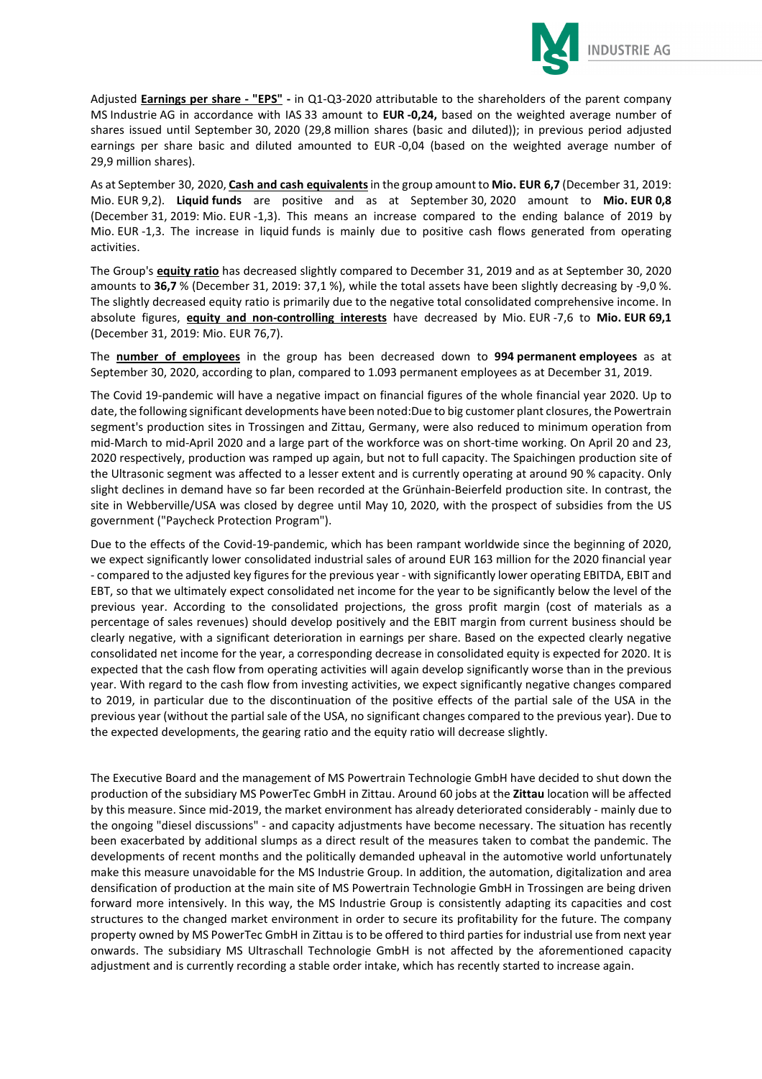

Adjusted **Earnings per share - "EPS" -** in Q1-Q3-2020 attributable to the shareholders of the parent company MS Industrie AG in accordance with IAS 33 amount to **EUR -0,24,** based on the weighted average number of shares issued until September 30, 2020 (29,8 million shares (basic and diluted)); in previous period adjusted earnings per share basic and diluted amounted to EUR -0,04 (based on the weighted average number of 29,9 million shares).

As at September 30, 2020, **Cash and cash equivalents** in the group amount to **Mio. EUR 6,7** (December 31, 2019: Mio. EUR 9,2). **Liquid funds** are positive and as at September 30, 2020 amount to **Mio. EUR 0,8** (December 31, 2019: Mio. EUR -1,3). This means an increase compared to the ending balance of 2019 by Mio. EUR -1,3. The increase in liquid funds is mainly due to positive cash flows generated from operating activities.

The Group's **equity ratio** has decreased slightly compared to December 31, 2019 and as at September 30, 2020 amounts to **36,7** % (December 31, 2019: 37,1 %), while the total assets have been slightly decreasing by -9,0 %. The slightly decreased equity ratio is primarily due to the negative total consolidated comprehensive income. In absolute figures, **equity and non-controlling interests** have decreased by Mio. EUR -7,6 to **Mio. EUR 69,1**  (December 31, 2019: Mio. EUR 76,7).

The **number of employees** in the group has been decreased down to **994 permanent employees** as at September 30, 2020, according to plan, compared to 1.093 permanent employees as at December 31, 2019.

The Covid 19-pandemic will have a negative impact on financial figures of the whole financial year 2020. Up to date, the following significant developments have been noted:Due to big customer plant closures, the Powertrain segment's production sites in Trossingen and Zittau, Germany, were also reduced to minimum operation from mid-March to mid-April 2020 and a large part of the workforce was on short-time working. On April 20 and 23, 2020 respectively, production was ramped up again, but not to full capacity. The Spaichingen production site of the Ultrasonic segment was affected to a lesser extent and is currently operating at around 90 % capacity. Only slight declines in demand have so far been recorded at the Grünhain-Beierfeld production site. In contrast, the site in Webberville/USA was closed by degree until May 10, 2020, with the prospect of subsidies from the US government ("Paycheck Protection Program").

Due to the effects of the Covid-19-pandemic, which has been rampant worldwide since the beginning of 2020, we expect significantly lower consolidated industrial sales of around EUR 163 million for the 2020 financial year - compared to the adjusted key figures for the previous year - with significantly lower operating EBITDA, EBIT and EBT, so that we ultimately expect consolidated net income for the year to be significantly below the level of the previous year. According to the consolidated projections, the gross profit margin (cost of materials as a percentage of sales revenues) should develop positively and the EBIT margin from current business should be clearly negative, with a significant deterioration in earnings per share. Based on the expected clearly negative consolidated net income for the year, a corresponding decrease in consolidated equity is expected for 2020. It is expected that the cash flow from operating activities will again develop significantly worse than in the previous year. With regard to the cash flow from investing activities, we expect significantly negative changes compared to 2019, in particular due to the discontinuation of the positive effects of the partial sale of the USA in the previous year (without the partial sale of the USA, no significant changes compared to the previous year). Due to the expected developments, the gearing ratio and the equity ratio will decrease slightly.

The Executive Board and the management of MS Powertrain Technologie GmbH have decided to shut down the production of the subsidiary MS PowerTec GmbH in Zittau. Around 60 jobs at the **Zittau** location will be affected by this measure. Since mid-2019, the market environment has already deteriorated considerably - mainly due to the ongoing "diesel discussions" - and capacity adjustments have become necessary. The situation has recently been exacerbated by additional slumps as a direct result of the measures taken to combat the pandemic. The developments of recent months and the politically demanded upheaval in the automotive world unfortunately make this measure unavoidable for the MS Industrie Group. In addition, the automation, digitalization and area densification of production at the main site of MS Powertrain Technologie GmbH in Trossingen are being driven forward more intensively. In this way, the MS Industrie Group is consistently adapting its capacities and cost structures to the changed market environment in order to secure its profitability for the future. The company property owned by MS PowerTec GmbH in Zittau is to be offered to third parties for industrial use from next year onwards. The subsidiary MS Ultraschall Technologie GmbH is not affected by the aforementioned capacity adjustment and is currently recording a stable order intake, which has recently started to increase again.